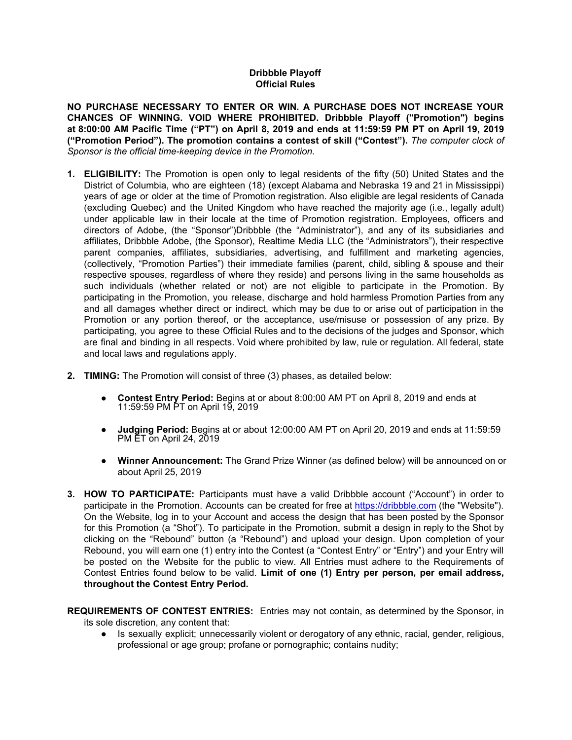## **Dribbble Playoff Official Rules**

**NO PURCHASE NECESSARY TO ENTER OR WIN. A PURCHASE DOES NOT INCREASE YOUR CHANCES OF WINNING. VOID WHERE PROHIBITED. Dribbble Playoff ("Promotion") begins at 8:00:00 AM Pacific Time ("PT") on April 8, 2019 and ends at 11:59:59 PM PT on April 19, 2019 ("Promotion Period"). The promotion contains a contest of skill ("Contest").** *The computer clock of Sponsor is the official time-keeping device in the Promotion.*

- **1. ELIGIBILITY:** The Promotion is open only to legal residents of the fifty (50) United States and the District of Columbia, who are eighteen (18) (except Alabama and Nebraska 19 and 21 in Mississippi) years of age or older at the time of Promotion registration. Also eligible are legal residents of Canada (excluding Quebec) and the United Kingdom who have reached the majority age (i.e., legally adult) under applicable law in their locale at the time of Promotion registration. Employees, officers and directors of Adobe, (the "Sponsor")Dribbble (the "Administrator"), and any of its subsidiaries and affiliates, Dribbble Adobe, (the Sponsor), Realtime Media LLC (the "Administrators"), their respective parent companies, affiliates, subsidiaries, advertising, and fulfillment and marketing agencies, (collectively, "Promotion Parties") their immediate families (parent, child, sibling & spouse and their respective spouses, regardless of where they reside) and persons living in the same households as such individuals (whether related or not) are not eligible to participate in the Promotion. By participating in the Promotion, you release, discharge and hold harmless Promotion Parties from any and all damages whether direct or indirect, which may be due to or arise out of participation in the Promotion or any portion thereof, or the acceptance, use/misuse or possession of any prize. By participating, you agree to these Official Rules and to the decisions of the judges and Sponsor, which are final and binding in all respects. Void where prohibited by law, rule or regulation. All federal, state and local laws and regulations apply.
- **2. TIMING:** The Promotion will consist of three (3) phases, as detailed below:
	- **Contest Entry Period:** Begins at or about 8:00:00 AM PT on April 8, 2019 and ends at 11:59:59 PM PT on April 19, 2019
	- **Judging Period:** Begins at or about 12:00:00 AM PT on April 20, 2019 and ends at 11:59:59 PM ET on April 24, 2019
	- **Winner Announcement:** The Grand Prize Winner (as defined below) will be announced on or about April 25, 2019
- **3. HOW TO PARTICIPATE:** Participants must have a valid Dribbble account ("Account") in order to participate in the Promotion. Accounts can be created for free at [https://dribbble.com](https://dribbble.com/) (the "Website"). On the Website, log in to your Account and access the design that has been posted by the Sponsor for this Promotion (a "Shot"). To participate in the Promotion, submit a design in reply to the Shot by clicking on the "Rebound" button (a "Rebound") and upload your design. Upon completion of your Rebound, you will earn one (1) entry into the Contest (a "Contest Entry" or "Entry") and your Entry will be posted on the Website for the public to view. All Entries must adhere to the Requirements of Contest Entries found below to be valid. **Limit of one (1) Entry per person, per email address, throughout the Contest Entry Period.**

**REQUIREMENTS OF CONTEST ENTRIES:** Entries may not contain, as determined by the Sponsor, in its sole discretion, any content that:

● Is sexually explicit; unnecessarily violent or derogatory of any ethnic, racial, gender, religious, professional or age group; profane or pornographic; contains nudity;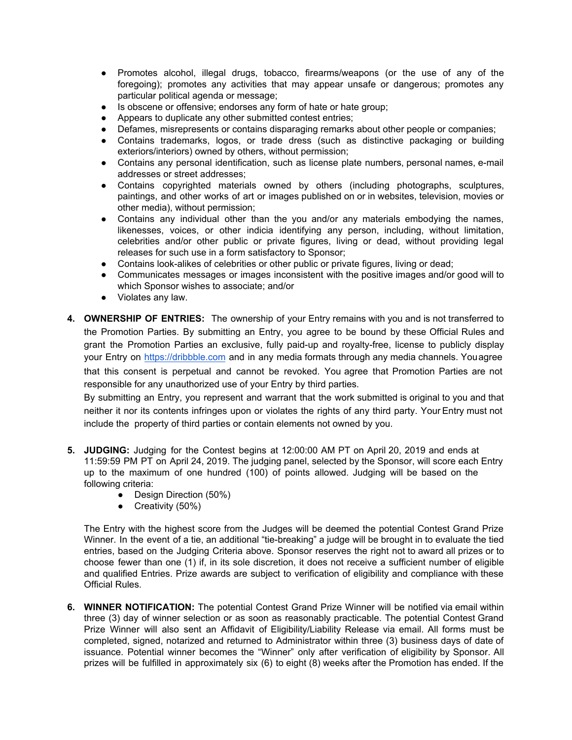- Promotes alcohol, illegal drugs, tobacco, firearms/weapons (or the use of any of the foregoing); promotes any activities that may appear unsafe or dangerous; promotes any particular political agenda or message;
- Is obscene or offensive; endorses any form of hate or hate group;
- Appears to duplicate any other submitted contest entries;
- Defames, misrepresents or contains disparaging remarks about other people or companies;
- Contains trademarks, logos, or trade dress (such as distinctive packaging or building exteriors/interiors) owned by others, without permission;
- Contains any personal identification, such as license plate numbers, personal names, e-mail addresses or street addresses;
- Contains copyrighted materials owned by others (including photographs, sculptures, paintings, and other works of art or images published on or in websites, television, movies or other media), without permission;
- Contains any individual other than the you and/or any materials embodying the names, likenesses, voices, or other indicia identifying any person, including, without limitation, celebrities and/or other public or private figures, living or dead, without providing legal releases for such use in a form satisfactory to Sponsor;
- Contains look-alikes of celebrities or other public or private figures, living or dead;
- Communicates messages or images inconsistent with the positive images and/or good will to which Sponsor wishes to associate; and/or
- Violates any law.
- **4. OWNERSHIP OF ENTRIES:** The ownership of your Entry remains with you and is not transferred to the Promotion Parties. By submitting an Entry, you agree to be bound by these Official Rules and grant the Promotion Parties an exclusive, fully paid-up and royalty-free, license to publicly display your Entry on [https://dribbble.com](https://dribbble.com/) and in any media formats through any media channels. You agree that this consent is perpetual and cannot be revoked. You agree that Promotion Parties are not responsible for any unauthorized use of your Entry by third parties.

By submitting an Entry, you represent and warrant that the work submitted is original to you and that neither it nor its contents infringes upon or violates the rights of any third party. Your Entry must not include the property of third parties or contain elements not owned by you.

- **5. JUDGING:** Judging for the Contest begins at 12:00:00 AM PT on April 20, 2019 and ends at 11:59:59 PM PT on April 24, 2019. The judging panel, selected by the Sponsor, will score each Entry up to the maximum of one hundred (100) of points allowed. Judging will be based on the following criteria:
	- **●** Design Direction (50%)
	- **●** Creativity (50%)

The Entry with the highest score from the Judges will be deemed the potential Contest Grand Prize Winner. In the event of a tie, an additional "tie-breaking" a judge will be brought in to evaluate the tied entries, based on the Judging Criteria above. Sponsor reserves the right not to award all prizes or to choose fewer than one (1) if, in its sole discretion, it does not receive a sufficient number of eligible and qualified Entries. Prize awards are subject to verification of eligibility and compliance with these Official Rules.

**6. WINNER NOTIFICATION:** The potential Contest Grand Prize Winner will be notified via email within three (3) day of winner selection or as soon as reasonably practicable. The potential Contest Grand Prize Winner will also sent an Affidavit of Eligibility/Liability Release via email. All forms must be completed, signed, notarized and returned to Administrator within three (3) business days of date of issuance. Potential winner becomes the "Winner" only after verification of eligibility by Sponsor. All prizes will be fulfilled in approximately six (6) to eight (8) weeks after the Promotion has ended. If the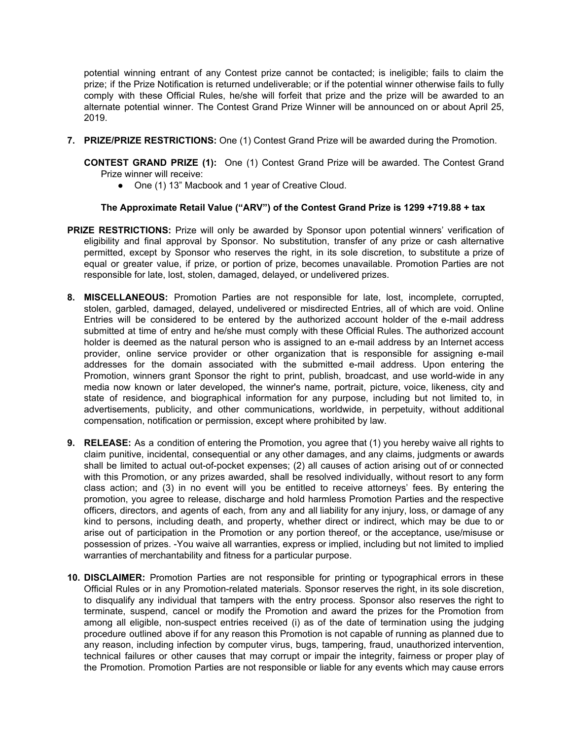potential winning entrant of any Contest prize cannot be contacted; is ineligible; fails to claim the prize; if the Prize Notification is returned undeliverable; or if the potential winner otherwise fails to fully comply with these Official Rules, he/she will forfeit that prize and the prize will be awarded to an alternate potential winner. The Contest Grand Prize Winner will be announced on or about April 25, 2019.

**7. PRIZE/PRIZE RESTRICTIONS:** One (1) Contest Grand Prize will be awarded during the Promotion.

**CONTEST GRAND PRIZE (1):** One (1) Contest Grand Prize will be awarded. The Contest Grand Prize winner will receive:

One (1) 13" Macbook and 1 year of Creative Cloud.

## **The Approximate Retail Value ("ARV") of the Contest Grand Prize is 1299 +719.88 + tax**

- **PRIZE RESTRICTIONS:** Prize will only be awarded by Sponsor upon potential winners' verification of eligibility and final approval by Sponsor. No substitution, transfer of any prize or cash alternative permitted, except by Sponsor who reserves the right, in its sole discretion, to substitute a prize of equal or greater value, if prize, or portion of prize, becomes unavailable. Promotion Parties are not responsible for late, lost, stolen, damaged, delayed, or undelivered prizes.
- **8. MISCELLANEOUS:** Promotion Parties are not responsible for late, lost, incomplete, corrupted, stolen, garbled, damaged, delayed, undelivered or misdirected Entries, all of which are void. Online Entries will be considered to be entered by the authorized account holder of the e-mail address submitted at time of entry and he/she must comply with these Official Rules. The authorized account holder is deemed as the natural person who is assigned to an e-mail address by an Internet access provider, online service provider or other organization that is responsible for assigning e-mail addresses for the domain associated with the submitted e-mail address. Upon entering the Promotion, winners grant Sponsor the right to print, publish, broadcast, and use world-wide in any media now known or later developed, the winner's name, portrait, picture, voice, likeness, city and state of residence, and biographical information for any purpose, including but not limited to, in advertisements, publicity, and other communications, worldwide, in perpetuity, without additional compensation, notification or permission, except where prohibited by law.
- **9. RELEASE:** As a condition of entering the Promotion, you agree that (1) you hereby waive all rights to claim punitive, incidental, consequential or any other damages, and any claims, judgments or awards shall be limited to actual out-of-pocket expenses; (2) all causes of action arising out of or connected with this Promotion, or any prizes awarded, shall be resolved individually, without resort to any form class action; and (3) in no event will you be entitled to receive attorneys' fees. By entering the promotion, you agree to release, discharge and hold harmless Promotion Parties and the respective officers, directors, and agents of each, from any and all liability for any injury, loss, or damage of any kind to persons, including death, and property, whether direct or indirect, which may be due to or arise out of participation in the Promotion or any portion thereof, or the acceptance, use/misuse or possession of prizes. -You waive all warranties, express or implied, including but not limited to implied warranties of merchantability and fitness for a particular purpose.
- **10. DISCLAIMER:** Promotion Parties are not responsible for printing or typographical errors in these Official Rules or in any Promotion-related materials. Sponsor reserves the right, in its sole discretion, to disqualify any individual that tampers with the entry process. Sponsor also reserves the right to terminate, suspend, cancel or modify the Promotion and award the prizes for the Promotion from among all eligible, non-suspect entries received (i) as of the date of termination using the judging procedure outlined above if for any reason this Promotion is not capable of running as planned due to any reason, including infection by computer virus, bugs, tampering, fraud, unauthorized intervention, technical failures or other causes that may corrupt or impair the integrity, fairness or proper play of the Promotion. Promotion Parties are not responsible or liable for any events which may cause errors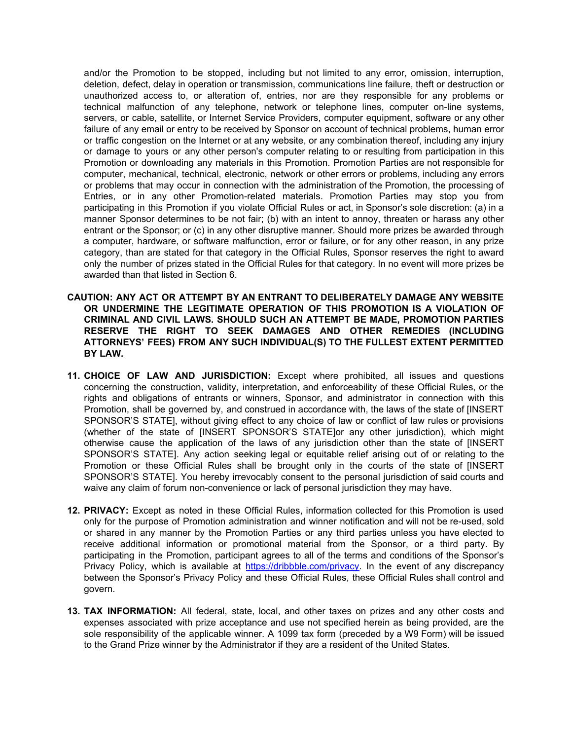and/or the Promotion to be stopped, including but not limited to any error, omission, interruption, deletion, defect, delay in operation or transmission, communications line failure, theft or destruction or unauthorized access to, or alteration of, entries, nor are they responsible for any problems or technical malfunction of any telephone, network or telephone lines, computer on-line systems, servers, or cable, satellite, or Internet Service Providers, computer equipment, software or any other failure of any email or entry to be received by Sponsor on account of technical problems, human error or traffic congestion on the Internet or at any website, or any combination thereof, including any injury or damage to yours or any other person's computer relating to or resulting from participation in this Promotion or downloading any materials in this Promotion. Promotion Parties are not responsible for computer, mechanical, technical, electronic, network or other errors or problems, including any errors or problems that may occur in connection with the administration of the Promotion, the processing of Entries, or in any other Promotion-related materials. Promotion Parties may stop you from participating in this Promotion if you violate Official Rules or act, in Sponsor's sole discretion: (a) in a manner Sponsor determines to be not fair; (b) with an intent to annoy, threaten or harass any other entrant or the Sponsor; or (c) in any other disruptive manner. Should more prizes be awarded through a computer, hardware, or software malfunction, error or failure, or for any other reason, in any prize category, than are stated for that category in the Official Rules, Sponsor reserves the right to award only the number of prizes stated in the Official Rules for that category. In no event will more prizes be awarded than that listed in Section 6.

- **CAUTION: ANY ACT OR ATTEMPT BY AN ENTRANT TO DELIBERATELY DAMAGE ANY WEBSITE OR UNDERMINE THE LEGITIMATE OPERATION OF THIS PROMOTION IS A VIOLATION OF CRIMINAL AND CIVIL LAWS. SHOULD SUCH AN ATTEMPT BE MADE, PROMOTION PARTIES RESERVE THE RIGHT TO SEEK DAMAGES AND OTHER REMEDIES (INCLUDING ATTORNEYS' FEES) FROM ANY SUCH INDIVIDUAL(S) TO THE FULLEST EXTENT PERMITTED BY LAW.**
- **11. CHOICE OF LAW AND JURISDICTION:** Except where prohibited, all issues and questions concerning the construction, validity, interpretation, and enforceability of these Official Rules, or the rights and obligations of entrants or winners, Sponsor, and administrator in connection with this Promotion, shall be governed by, and construed in accordance with, the laws of the state of [INSERT SPONSOR'S STATE], without giving effect to any choice of law or conflict of law rules or provisions (whether of the state of [INSERT SPONSOR'S STATE]or any other jurisdiction), which might otherwise cause the application of the laws of any jurisdiction other than the state of [INSERT SPONSOR'S STATE]. Any action seeking legal or equitable relief arising out of or relating to the Promotion or these Official Rules shall be brought only in the courts of the state of [INSERT SPONSOR'S STATE]. You hereby irrevocably consent to the personal jurisdiction of said courts and waive any claim of forum non-convenience or lack of personal jurisdiction they may have.
- **12. PRIVACY:** Except as noted in these Official Rules, information collected for this Promotion is used only for the purpose of Promotion administration and winner notification and will not be re-used, sold or shared in any manner by the Promotion Parties or any third parties unless you have elected to receive additional information or promotional material from the Sponsor, or a third party. By participating in the Promotion, participant agrees to all of the terms and conditions of the Sponsor's Privacy Policy, which is available at [https://dribbble.com/privacy.](https://dribbble.com/privacy) In the event of any discrepancy between the Sponsor's Privacy Policy and these Official Rules, these Official Rules shall control and govern.
- **13. TAX INFORMATION:** All federal, state, local, and other taxes on prizes and any other costs and expenses associated with prize acceptance and use not specified herein as being provided, are the sole responsibility of the applicable winner. A 1099 tax form (preceded by a W9 Form) will be issued to the Grand Prize winner by the Administrator if they are a resident of the United States.